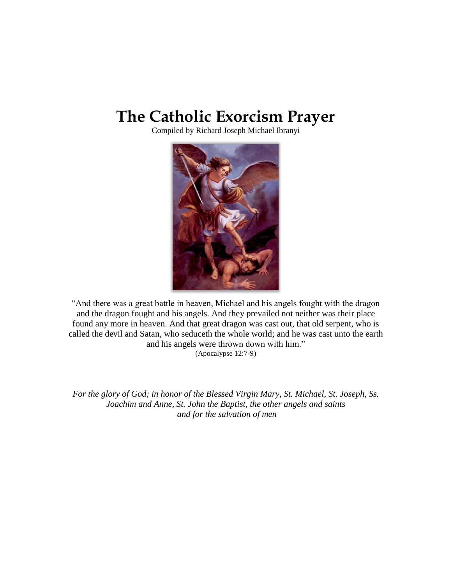# **The Catholic Exorcism Prayer**

Compiled by Richard Joseph Michael Ibranyi



"And there was a great battle in heaven, Michael and his angels fought with the dragon and the dragon fought and his angels. And they prevailed not neither was their place found any more in heaven. And that great dragon was cast out, that old serpent, who is called the devil and Satan, who seduceth the whole world; and he was cast unto the earth and his angels were thrown down with him." (Apocalypse 12:7-9)

*For the glory of God; in honor of the Blessed Virgin Mary, St. Michael, St. Joseph, Ss. Joachim and Anne, St. John the Baptist, the other angels and saints and for the salvation of men*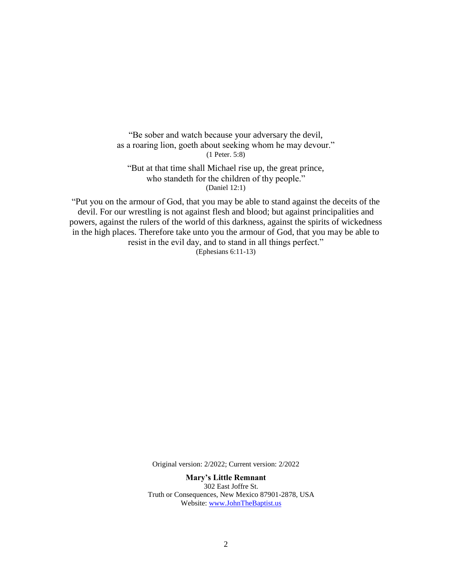"Be sober and watch because your adversary the devil, as a roaring lion, goeth about seeking whom he may devour." (1 Peter. 5:8)

"But at that time shall Michael rise up, the great prince, who standeth for the children of thy people." (Daniel 12:1)

"Put you on the armour of God, that you may be able to stand against the deceits of the devil. For our wrestling is not against flesh and blood; but against principalities and powers, against the rulers of the world of this darkness, against the spirits of wickedness in the high places. Therefore take unto you the armour of God, that you may be able to resist in the evil day, and to stand in all things perfect." (Ephesians 6:11-13)

Original version: 2/2022; Current version: 2/2022

**Mary's Little Remnant** 302 East Joffre St. Truth or Consequences, New Mexico 87901-2878, USA Website: [www.JohnTheBaptist.us](http://www.johnthebaptist.us/)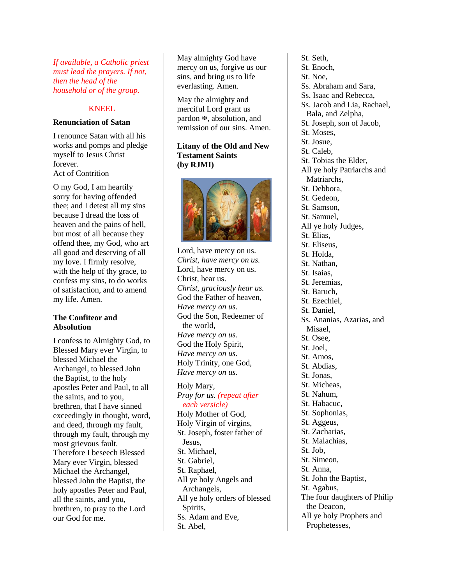*If available, a Catholic priest must lead the prayers. If not, then the head of the household or of the group.*

# KNEEL

#### **Renunciation of Satan**

I renounce Satan with all his works and pomps and pledge myself to Jesus Christ forever. Act of Contrition

O my God, I am heartily sorry for having offended thee; and I detest all my sins because I dread the loss of heaven and the pains of hell, but most of all because they offend thee, my God, who art all good and deserving of all my love. I firmly resolve, with the help of thy grace, to confess my sins, to do works of satisfaction, and to amend my life. Amen.

#### **The Confiteor and Absolution**

I confess to Almighty God, to Blessed Mary ever Virgin, to blessed Michael the Archangel, to blessed John the Baptist, to the holy apostles Peter and Paul, to all the saints, and to you, brethren, that I have sinned exceedingly in thought, word, and deed, through my fault, through my fault, through my most grievous fault. Therefore I beseech Blessed Mary ever Virgin, blessed Michael the Archangel, blessed John the Baptist, the holy apostles Peter and Paul, all the saints, and you, brethren, to pray to the Lord our God for me.

May almighty God have mercy on us, forgive us our sins, and bring us to life everlasting. Amen.

May the almighty and merciful Lord grant us pardon  $\mathbb{F}$ , absolution, and remission of our sins. Amen.

#### **Litany of the Old and New Testament Saints (by RJMI)**



Lord, have mercy on us. *Christ, have mercy on us.* Lord, have mercy on us. Christ, hear us. *Christ, graciously hear us.* God the Father of heaven, *Have mercy on us.* God the Son, Redeemer of the world, *Have mercy on us.* God the Holy Spirit, *Have mercy on us.* Holy Trinity, one God, *Have mercy on us.*

Holy Mary, *Pray for us. (repeat after each versicle)* Holy Mother of God, Holy Virgin of virgins, St. Joseph, foster father of Jesus, St. Michael, St. Gabriel, St. Raphael, All ye holy Angels and Archangels, All ye holy orders of blessed Spirits, Ss. Adam and Eve, St. Abel,

St. Seth, St. Enoch, St. Noe, Ss. Abraham and Sara, Ss. Isaac and Rebecca, Ss. Jacob and Lia, Rachael, Bala, and Zelpha, St. Joseph, son of Jacob, St. Moses, St. Josue, St. Caleb, St. Tobias the Elder, All ye holy Patriarchs and Matriarchs, St. Debbora, St. Gedeon, St. Samson, St. Samuel, All ye holy Judges, St. Elias, St. Eliseus, St. Holda, St. Nathan, St. Isaias, St. Jeremias, St. Baruch, St. Ezechiel, St. Daniel, Ss. Ananias, Azarias, and Misael, St. Osee, St. Joel, St. Amos, St. Abdias, St. Jonas, St. Micheas, St. Nahum, St. Habacuc, St. Sophonias, St. Aggeus, St. Zacharias, St. Malachias, St. Job, St. Simeon, St. Anna, St. John the Baptist, St. Agabus, The four daughters of Philip the Deacon, All ye holy Prophets and Prophetesses,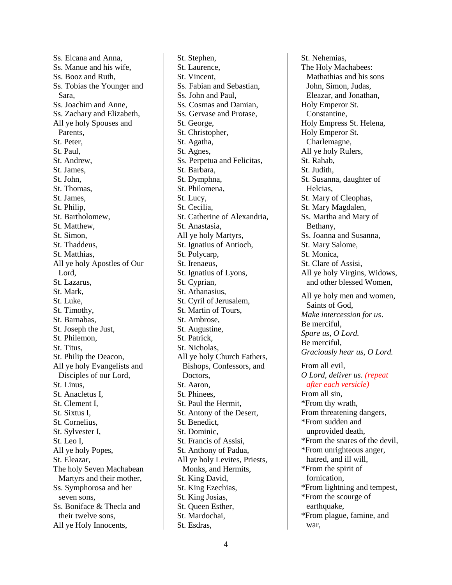Ss. Elcana and Anna, Ss. Manue and his wife, Ss. Booz and Ruth, Ss. Tobias the Younger and Sara, Ss. Joachim and Anne, Ss. Zachary and Elizabeth, All ye holy Spouses and Parents, St. Peter, St. Paul, St. Andrew, St. James, St. John, St. Thomas, St. James, St. Philip, St. Bartholomew, St. Matthew, St. Simon, St. Thaddeus, St. Matthias, All ye holy Apostles of Our Lord, St. Lazarus, St. Mark, St. Luke, St. Timothy, St. Barnabas, St. Joseph the Just, St. Philemon, St. Titus, St. Philip the Deacon, All ye holy Evangelists and Disciples of our Lord, St. Linus, St. Anacletus I, St. Clement I, St. Sixtus I, St. Cornelius, St. Sylvester I, St. Leo I, All ye holy Popes, St. Eleazar, The holy Seven Machabean Martyrs and their mother, Ss. Symphorosa and her seven sons, Ss. Boniface & Thecla and their twelve sons, All ye Holy Innocents,

St. Stephen, St. Laurence, St. Vincent, Ss. Fabian and Sebastian, Ss. John and Paul, Ss. Cosmas and Damian, Ss. Gervase and Protase, St. George, St. Christopher, St. Agatha, St. Agnes, Ss. Perpetua and Felicitas, St. Barbara, St. Dymphna, St. Philomena, St. Lucy, St. Cecilia, St. Catherine of Alexandria, St. Anastasia, All ye holy Martyrs, St. Ignatius of Antioch, St. Polycarp, St. Irenaeus, St. Ignatius of Lyons, St. Cyprian, St. Athanasius, St. Cyril of Jerusalem, St. Martin of Tours, St. Ambrose, St. Augustine, St. Patrick, St. Nicholas, All ye holy Church Fathers, Bishops, Confessors, and Doctors, St. Aaron, St. Phinees, St. Paul the Hermit, St. Antony of the Desert, St. Benedict, St. Dominic, St. Francis of Assisi, St. Anthony of Padua, All ye holy Levites, Priests, Monks, and Hermits, St. King David, St. King Ezechias, St. King Josias, St. Queen Esther, St. Mardochai, St. Esdras,

St. Nehemias, The Holy Machabees: Mathathias and his sons John, Simon, Judas, Eleazar, and Jonathan, Holy Emperor St. Constantine, Holy Empress St. Helena, Holy Emperor St. Charlemagne, All ye holy Rulers, St. Rahab, St. Judith, St. Susanna, daughter of Helcias, St. Mary of Cleophas, St. Mary Magdalen, Ss. Martha and Mary of Bethany, Ss. Joanna and Susanna, St. Mary Salome, St. Monica, St. Clare of Assisi, All ye holy Virgins, Widows, and other blessed Women, All ye holy men and women, Saints of God, *Make intercession for us*. Be merciful, *Spare us, O Lord.* Be merciful, *Graciously hear us, O Lord.* From all evil, *O Lord, deliver us. (repeat after each versicle)* From all sin, \*From thy wrath, From threatening dangers, \*From sudden and unprovided death, \*From the snares of the devil, \*From unrighteous anger, hatred, and ill will, \*From the spirit of fornication, \*From lightning and tempest, \*From the scourge of earthquake, \*From plague, famine, and war,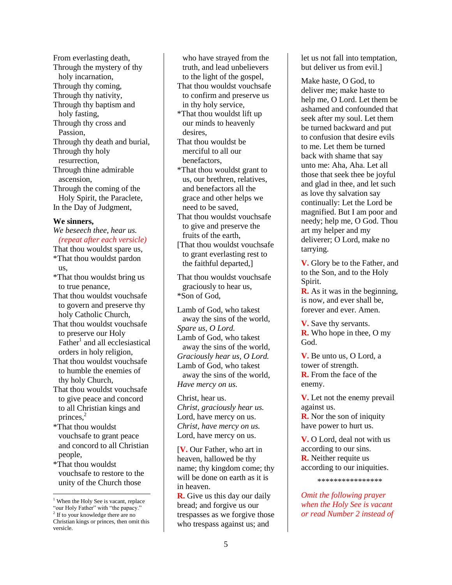From everlasting death, Through the mystery of thy holy incarnation, Through thy coming, Through thy nativity, Through thy baptism and holy fasting, Through thy cross and Passion, Through thy death and burial, Through thy holy resurrection, Through thine admirable ascension, Through the coming of the Holy Spirit, the Paraclete, In the Day of Judgment,

# **We sinners,**

#### *We beseech thee, hear us. (repeat after each versicle)*

- That thou wouldst spare us, \*That thou wouldst pardon us,
- \*That thou wouldst bring us to true penance,
- That thou wouldst vouchsafe to govern and preserve thy holy Catholic Church,
- That thou wouldst vouchsafe to preserve our Holy Father<sup>1</sup> and all ecclesiastical orders in holy religion,
- That thou wouldst vouchsafe to humble the enemies of thy holy Church,
- That thou wouldst vouchsafe to give peace and concord to all Christian kings and princes.<sup>2</sup>
- \*That thou wouldst vouchsafe to grant peace and concord to all Christian people,
- \*That thou wouldst vouchsafe to restore to the unity of the Church those

 $\overline{a}$ 

who have strayed from the truth, and lead unbelievers to the light of the gospel, That thou wouldst vouchsafe to confirm and preserve us in thy holy service,

- \*That thou wouldst lift up our minds to heavenly desires,
- That thou wouldst be merciful to all our benefactors,
- \*That thou wouldst grant to us, our brethren, relatives, and benefactors all the grace and other helps we need to be saved,
- That thou wouldst vouchsafe to give and preserve the fruits of the earth,
- [That thou wouldst vouchsafe] to grant everlasting rest to the faithful departed,]

That thou wouldst vouchsafe graciously to hear us, \*Son of God,

Lamb of God, who takest away the sins of the world, *Spare us, O Lord.* Lamb of God, who takest away the sins of the world, *Graciously hear us, O Lord.* Lamb of God, who takest away the sins of the world, *Have mercy on us.*

Christ, hear us. *Christ, graciously hear us.* Lord, have mercy on us. *Christ, have mercy on us.* Lord, have mercy on us.

[**V.** Our Father, who art in heaven, hallowed be thy name; thy kingdom come; thy will be done on earth as it is in heaven.

**R.** Give us this day our daily bread; and forgive us our trespasses as we forgive those who trespass against us; and

let us not fall into temptation, but deliver us from evil.]

Make haste, O God, to deliver me; make haste to help me, O Lord. Let them be ashamed and confounded that seek after my soul. Let them be turned backward and put to confusion that desire evils to me. Let them be turned back with shame that say unto me: Aha, Aha. Let all those that seek thee be joyful and glad in thee, and let such as love thy salvation say continually: Let the Lord be magnified. But I am poor and needy; help me, O God. Thou art my helper and my deliverer; O Lord, make no tarrying.

**V.** Glory be to the Father, and to the Son, and to the Holy Spirit.

**R.** As it was in the beginning, is now, and ever shall be, forever and ever. Amen.

**V.** Save thy servants. **R.** Who hope in thee, O my God.

**V.** Be unto us, O Lord, a tower of strength. **R.** From the face of the enemy.

**V.** Let not the enemy prevail against us. **R.** Nor the son of iniquity have power to hurt us.

**V.** O Lord, deal not with us according to our sins. **R.** Neither requite us according to our iniquities.

\*\*\*\*\*\*\*\*\*\*\*\*\*\*\*\*

*Omit the following prayer when the Holy See is vacant or read Number 2 instead of* 

<sup>&</sup>lt;sup>1</sup> When the Holy See is vacant, replace "our Holy Father" with "the papacy."

<sup>2</sup> If to your knowledge there are no Christian kings or princes, then omit this versicle.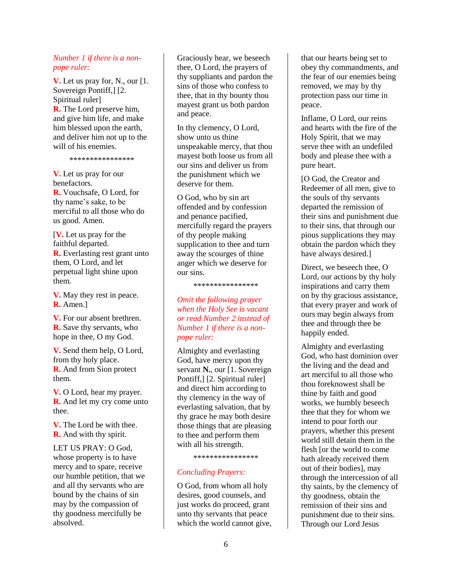#### *Number 1 if there is a nonpope ruler:*

**V.** Let us pray for, N., our [1. Sovereign Pontiff,] [2. Spiritual ruler] **R.** The Lord preserve him, and give him life, and make him blessed upon the earth, and deliver him not up to the will of his enemies.

\*\*\*\*\*\*\*\*\*\*\*\*\*\*\*\*

**V.** Let us pray for our benefactors. **R.** Vouchsafe, O Lord, for thy name's sake, to be merciful to all those who do us good. Amen.

[**V.** Let us pray for the faithful departed. **R.** Everlasting rest grant unto them, O Lord, and let perpetual light shine upon them.

**V.** May they rest in peace. **R.** Amen.]

**V.** For our absent brethren. **R.** Save thy servants, who hope in thee, O my God.

**V.** Send them help, O Lord, from thy holy place. **R.** And from Sion protect them.

**V.** O Lord, hear my prayer. **R.** And let my cry come unto thee.

**V.** The Lord be with thee. **R.** And with thy spirit.

LET US PRAY: O God, whose property is to have mercy and to spare, receive our humble petition, that we and all thy servants who are bound by the chains of sin may by the compassion of thy goodness mercifully be absolved.

Graciously hear, we beseech thee, O Lord, the prayers of thy suppliants and pardon the sins of those who confess to thee, that in thy bounty thou mayest grant us both pardon and peace.

In thy clemency, O Lord, show unto us thine unspeakable mercy, that thou mayest both loose us from all our sins and deliver us from the punishment which we deserve for them.

O God, who by sin art offended and by confession and penance pacified, mercifully regard the prayers of thy people making supplication to thee and turn away the scourges of thine anger which we deserve for our sins.

\*\*\*\*\*\*\*\*\*\*\*\*\*\*\*\*

# *Omit the following prayer when the Holy See is vacant or read Number 2 instead of Number 1 if there is a nonpope ruler:*

Almighty and everlasting God, have mercy upon thy servant **N.**, our [1. Sovereign Pontiff,] [2. Spiritual ruler] and direct him according to thy clemency in the way of everlasting salvation, that by thy grace he may both desire those things that are pleasing to thee and perform them with all his strength.

\*\*\*\*\*\*\*\*\*\*\*\*\*\*\*\*

# *Concluding Prayers:*

O God, from whom all holy desires, good counsels, and just works do proceed, grant unto thy servants that peace which the world cannot give, that our hearts being set to obey thy commandments, and the fear of our enemies being removed, we may by thy protection pass our time in peace.

Inflame, O Lord, our reins and hearts with the fire of the Holy Spirit, that we may serve thee with an undefiled body and please thee with a pure heart.

[O God, the Creator and Redeemer of all men, give to the souls of thy servants departed the remission of their sins and punishment due to their sins, that through our pious supplications they may obtain the pardon which they have always desired.]

Direct, we beseech thee, O Lord, our actions by thy holy inspirations and carry them on by thy gracious assistance, that every prayer and work of ours may begin always from thee and through thee be happily ended.

Almighty and everlasting God, who hast dominion over the living and the dead and art merciful to all those who thou foreknowest shall be thine by faith and good works, we humbly beseech thee that they for whom we intend to pour forth our prayers, whether this present world still detain them in the flesh [or the world to come hath already received them out of their bodies], may through the intercession of all thy saints, by the clemency of thy goodness, obtain the remission of their sins and punishment due to their sins. Through our Lord Jesus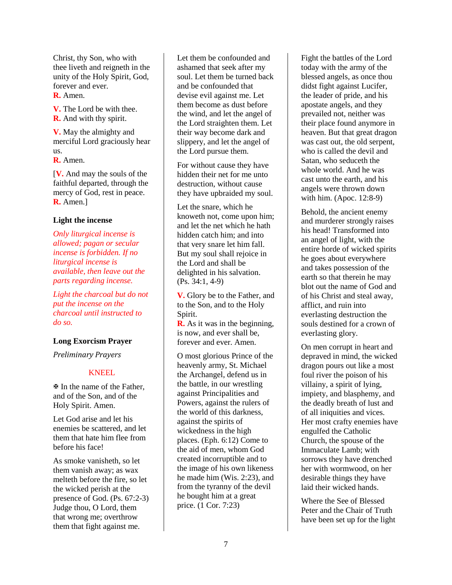Christ, thy Son, who with thee liveth and reigneth in the unity of the Holy Spirit, God, forever and ever.

#### **R.** Amen.

**V.** The Lord be with thee. **R.** And with thy spirit.

**V.** May the almighty and merciful Lord graciously hear us.

**R.** Amen.

[**V.** And may the souls of the faithful departed, through the mercy of God, rest in peace. **R.** Amen.]

#### **Light the incense**

*Only liturgical incense is allowed; pagan or secular incense is forbidden. If no liturgical incense is available, then leave out the parts regarding incense.*

*Light the charcoal but do not put the incense on the charcoal until instructed to do so.*

# **Long Exorcism Prayer**

*Preliminary Prayers*

# KNEEL

 In the name of the Father, and of the Son, and of the Holy Spirit. Amen.

Let God arise and let his enemies be scattered, and let them that hate him flee from before his face!

As smoke vanisheth, so let them vanish away; as wax melteth before the fire, so let the wicked perish at the presence of God. (Ps. 67:2-3) Judge thou, O Lord, them that wrong me; overthrow them that fight against me.

Let them be confounded and ashamed that seek after my soul. Let them be turned back and be confounded that devise evil against me. Let them become as dust before the wind, and let the angel of the Lord straighten them. Let their way become dark and slippery, and let the angel of the Lord pursue them.

For without cause they have hidden their net for me unto destruction, without cause they have upbraided my soul.

Let the snare, which he knoweth not, come upon him; and let the net which he hath hidden catch him; and into that very snare let him fall. But my soul shall rejoice in the Lord and shall be delighted in his salvation. (Ps. 34:1, 4-9)

**V.** Glory be to the Father, and to the Son, and to the Holy Spirit.

**R.** As it was in the beginning, is now, and ever shall be, forever and ever. Amen.

O most glorious Prince of the heavenly army, St. Michael the Archangel, defend us in the battle, in our wrestling against Principalities and Powers, against the rulers of the world of this darkness, against the spirits of wickedness in the high places. (Eph. 6:12) Come to the aid of men, whom God created incorruptible and to the image of his own likeness he made him (Wis. 2:23), and from the tyranny of the devil he bought him at a great price. (1 Cor. 7:23)

Fight the battles of the Lord today with the army of the blessed angels, as once thou didst fight against Lucifer, the leader of pride, and his apostate angels, and they prevailed not, neither was their place found anymore in heaven. But that great dragon was cast out, the old serpent, who is called the devil and Satan, who seduceth the whole world. And he was cast unto the earth, and his angels were thrown down with him. (Apoc. 12:8-9)

Behold, the ancient enemy and murderer strongly raises his head! Transformed into an angel of light, with the entire horde of wicked spirits he goes about everywhere and takes possession of the earth so that therein he may blot out the name of God and of his Christ and steal away, afflict, and ruin into everlasting destruction the souls destined for a crown of everlasting glory.

On men corrupt in heart and depraved in mind, the wicked dragon pours out like a most foul river the poison of his villainy, a spirit of lying, impiety, and blasphemy, and the deadly breath of lust and of all iniquities and vices. Her most crafty enemies have engulfed the Catholic Church, the spouse of the Immaculate Lamb; with sorrows they have drenched her with wormwood, on her desirable things they have laid their wicked hands.

Where the See of Blessed Peter and the Chair of Truth have been set up for the light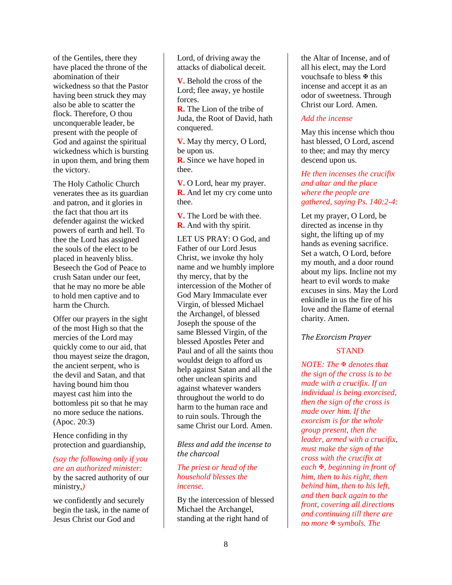of the Gentiles, there they have placed the throne of the abomination of their wickedness so that the Pastor having been struck they may also be able to scatter the flock. Therefore, O thou unconquerable leader, be present with the people of God and against the spiritual wickedness which is bursting in upon them, and bring them the victory.

The Holy Catholic Church venerates thee as its guardian and patron, and it glories in the fact that thou art its defender against the wicked powers of earth and hell. To thee the Lord has assigned the souls of the elect to be placed in heavenly bliss. Beseech the God of Peace to crush Satan under our feet, that he may no more be able to hold men captive and to harm the Church.

Offer our prayers in the sight of the most High so that the mercies of the Lord may quickly come to our aid, that thou mayest seize the dragon, the ancient serpent, who is the devil and Satan, and that having bound him thou mayest cast him into the bottomless pit so that he may no more seduce the nations. (Apoc. 20:3)

Hence confiding in thy protection and guardianship,

#### *(say the following only if you are an authorized minister:* by the sacred authority of our

ministry,*)*

we confidently and securely begin the task, in the name of Jesus Christ our God and

Lord, of driving away the attacks of diabolical deceit.

**V.** Behold the cross of the Lord; flee away, ye hostile forces.

**R.** The Lion of the tribe of Juda, the Root of David, hath conquered.

**V.** May thy mercy, O Lord, be upon us.

**R.** Since we have hoped in thee.

**V.** O Lord, hear my prayer. **R.** And let my cry come unto thee.

**V.** The Lord be with thee. **R.** And with thy spirit.

LET US PRAY: O God, and Father of our Lord Jesus Christ, we invoke thy holy name and we humbly implore thy mercy, that by the intercession of the Mother of God Mary Immaculate ever Virgin, of blessed Michael the Archangel, of blessed Joseph the spouse of the same Blessed Virgin, of the blessed Apostles Peter and Paul and of all the saints thou wouldst deign to afford us help against Satan and all the other unclean spirits and against whatever wanders throughout the world to do harm to the human race and to ruin souls. Through the same Christ our Lord. Amen.

*Bless and add the incense to the charcoal*

#### *The priest or head of the household blesses the incense.*

By the intercession of blessed Michael the Archangel, standing at the right hand of

the Altar of Incense, and of all his elect, may the Lord vouchsafe to bless  $\mathbb F$  this incense and accept it as an odor of sweetness. Through Christ our Lord. Amen.

# *Add the incense*

May this incense which thou hast blessed, O Lord, ascend to thee; and may thy mercy descend upon us.

# *He then incenses the crucifix and altar and the place where the people are gathered, saying Ps. 140:2-4:*

Let my prayer, O Lord, be directed as incense in thy sight, the lifting up of my hands as evening sacrifice. Set a watch, O Lord, before my mouth, and a door round about my lips. Incline not my heart to evil words to make excuses in sins. May the Lord enkindle in us the fire of his love and the flame of eternal charity. Amen.

# *The Exorcism Prayer*

# **STAND**

*NOTE: The denotes that the sign of the cross is to be made with a crucifix. If an individual is being exorcised, then the sign of the cross is made over him. If the exorcism is for the whole group present, then the leader, armed with a crucifix, must make the sign of the cross with the crucifix at each , beginning in front of him, then to his right, then behind him, then to his left, and then back again to the front, covering all directions and continuing till there are no more ₹ symbols. The*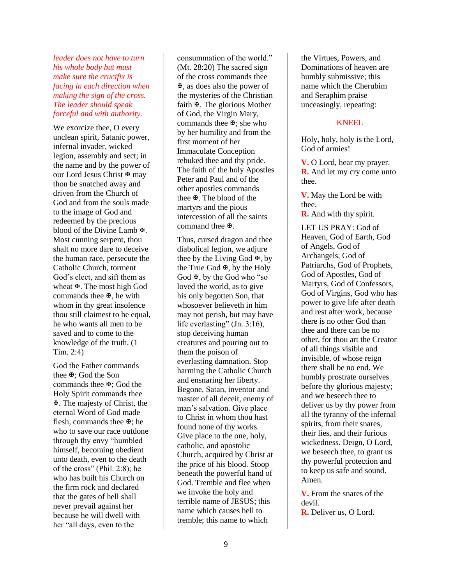*leader does not have to turn his whole body but must make sure the crucifix is facing in each direction when making the sign of the cross. The leader should speak forceful and with authority.*

We exorcize thee, O every unclean spirit, Satanic power, infernal invader, wicked legion, assembly and sect; in the name and by the power of our Lord Jesus Christ <sup> $\Phi$ </sup> may thou be snatched away and driven from the Church of God and from the souls made to the image of God and redeemed by the precious blood of the Divine Lamb  $\mathbb{F}$ . Most cunning serpent, thou shalt no more dare to deceive the human race, persecute the Catholic Church, torment God's elect, and sift them as wheat  $\mathbf{\Psi}$ . The most high God commands thee  $\mathbf{\Psi}$ , he with whom in thy great insolence thou still claimest to be equal, he who wants all men to be saved and to come to the knowledge of the truth. (1 Tim. 2:4)

God the Father commands thee  $\mathbb{F}$ : God the Son commands thee  $\mathfrak{B}$ : God the Holy Spirit commands thee . The majesty of Christ, the eternal Word of God made flesh, commands thee  $\mathbb{F}$ : he who to save our race outdone through thy envy "humbled himself, becoming obedient unto death, even to the death of the cross" (Phil. 2:8); he who has built his Church on the firm rock and declared that the gates of hell shall never prevail against her because he will dwell with her "all days, even to the

consummation of the world." (Mt. 28:20) The sacred sign of the cross commands thee , as does also the power of the mysteries of the Christian faith  $\mathfrak{B}$ . The glorious Mother of God, the Virgin Mary, commands thee  $\mathbb{F}$ ; she who by her humility and from the first moment of her Immaculate Conception rebuked thee and thy pride. The faith of the holy Apostles Peter and Paul and of the other apostles commands thee  $\mathfrak{B}$ . The blood of the martyrs and the pious intercession of all the saints command thee  $\mathfrak{B}$ .

Thus, cursed dragon and thee diabolical legion, we adjure thee by the Living God  $\mathbb{F}$ , by the True God  $\mathbb{F}$ , by the Holy God  $\Phi$ , by the God who "so" loved the world, as to give his only begotten Son, that whosoever believeth in him may not perish, but may have life everlasting" (Jn. 3:16), stop deceiving human creatures and pouring out to them the poison of everlasting damnation. Stop harming the Catholic Church and ensnaring her liberty. Begone, Satan, inventor and master of all deceit, enemy of man's salvation. Give place to Christ in whom thou hast found none of thy works. Give place to the one, holy, catholic, and apostolic Church, acquired by Christ at the price of his blood. Stoop beneath the powerful hand of God. Tremble and flee when we invoke the holy and terrible name of JESUS; this name which causes hell to tremble; this name to which

the Virtues, Powers, and Dominations of heaven are humbly submissive; this name which the Cherubim and Seraphim praise unceasingly, repeating:

# KNEEL

Holy, holy, holy is the Lord, God of armies!

**V.** O Lord, hear my prayer. **R.** And let my cry come unto thee.

**V.** May the Lord be with thee.

**R.** And with thy spirit.

LET US PRAY: God of Heaven, God of Earth, God of Angels, God of Archangels, God of Patriarchs, God of Prophets, God of Apostles, God of Martyrs, God of Confessors, God of Virgins, God who has power to give life after death and rest after work, because there is no other God than thee and there can be no other, for thou art the Creator of all things visible and invisible, of whose reign there shall be no end. We humbly prostrate ourselves before thy glorious majesty; and we beseech thee to deliver us by thy power from all the tyranny of the infernal spirits, from their snares, their lies, and their furious wickedness. Deign, O Lord, we beseech thee, to grant us thy powerful protection and to keep us safe and sound. Amen.

**V.** From the snares of the devil.

**R.** Deliver us, O Lord.